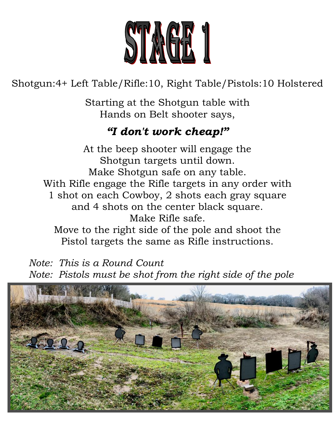

## Shotgun:4+ Left Table/Rifle:10, Right Table/Pistols:10 Holstered

Starting at the Shotgun table with Hands on Belt shooter says,

### *"I don't work cheap!"*

At the beep shooter will engage the Shotgun targets until down. Make Shotgun safe on any table. With Rifle engage the Rifle targets in any order with 1 shot on each Cowboy, 2 shots each gray square and 4 shots on the center black square. Make Rifle safe. Move to the right side of the pole and shoot the Pistol targets the same as Rifle instructions.

 *Note: This is a Round Count Note: Pistols must be shot from the right side of the pole*

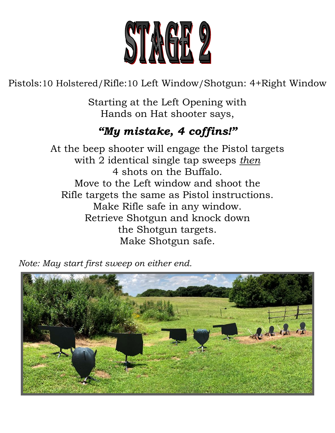

Pistols:10 Holstered/Rifle:10 Left Window/Shotgun: 4+Right Window

Starting at the Left Opening with Hands on Hat shooter says,

# *"My mistake, 4 coffins!"*

At the beep shooter will engage the Pistol targets with 2 identical single tap sweeps *then* 4 shots on the Buffalo. Move to the Left window and shoot the Rifle targets the same as Pistol instructions. Make Rifle safe in any window. Retrieve Shotgun and knock down the Shotgun targets. Make Shotgun safe.

 *Note: May start first sweep on either end.*

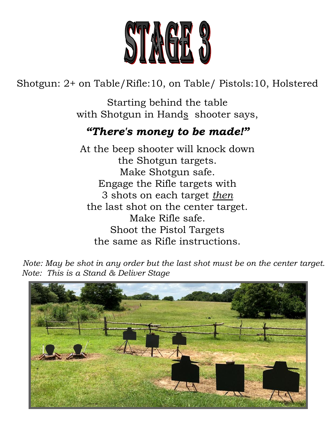

Shotgun: 2+ on Table/Rifle:10, on Table/ Pistols:10, Holstered

Starting behind the table with Shotgun in Hands shooter says,

### *"There's money to be made!"*

At the beep shooter will knock down the Shotgun targets. Make Shotgun safe. Engage the Rifle targets with 3 shots on each target *then* the last shot on the center target. Make Rifle safe. Shoot the Pistol Targets the same as Rifle instructions.

*Note: May be shot in any order but the last shot must be on the center target.* *Note: This is a Stand & Deliver Stage*

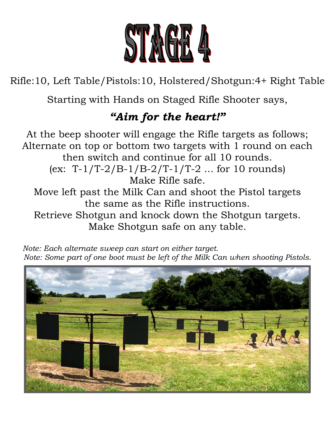

Rifle:10, Left Table/Pistols:10, Holstered/Shotgun:4+ Right Table

Starting with Hands on Staged Rifle Shooter says,

# *"Aim for the heart!"*

At the beep shooter will engage the Rifle targets as follows; Alternate on top or bottom two targets with 1 round on each then switch and continue for all 10 rounds.  $(ex: T-1/T-2/B-1/B-2/T-1/T-2 ... for 10 rounds)$ Make Rifle safe. Move left past the Milk Can and shoot the Pistol targets the same as the Rifle instructions. Retrieve Shotgun and knock down the Shotgun targets. Make Shotgun safe on any table.

 *Note: Each alternate sweep can start on either target. Note: Some part of one boot must be left of the Milk Can when shooting Pistols.*

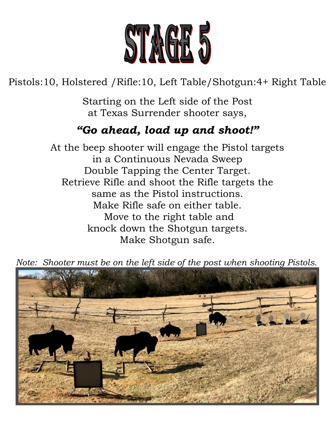![](_page_4_Picture_0.jpeg)

### Pistols:10, Holstered /Rifle:10, Left Table/Shotgun:4+ Right Table

Starting on the Left side of the Post at Texas Surrender shooter says,

### *"Go ahead, load up and shoot!"*

At the beep shooter will engage the Pistol targets in a Continuous Nevada Sweep Double Tapping the Center Target. Retrieve Rifle and shoot the Rifle targets the same as the Pistol instructions. Make Rifle safe on either table. Move to the right table and knock down the Shotgun targets. Make Shotgun safe.

 *Note: Shooter must be on the left side of the post when shooting Pistols.*

![](_page_4_Picture_6.jpeg)